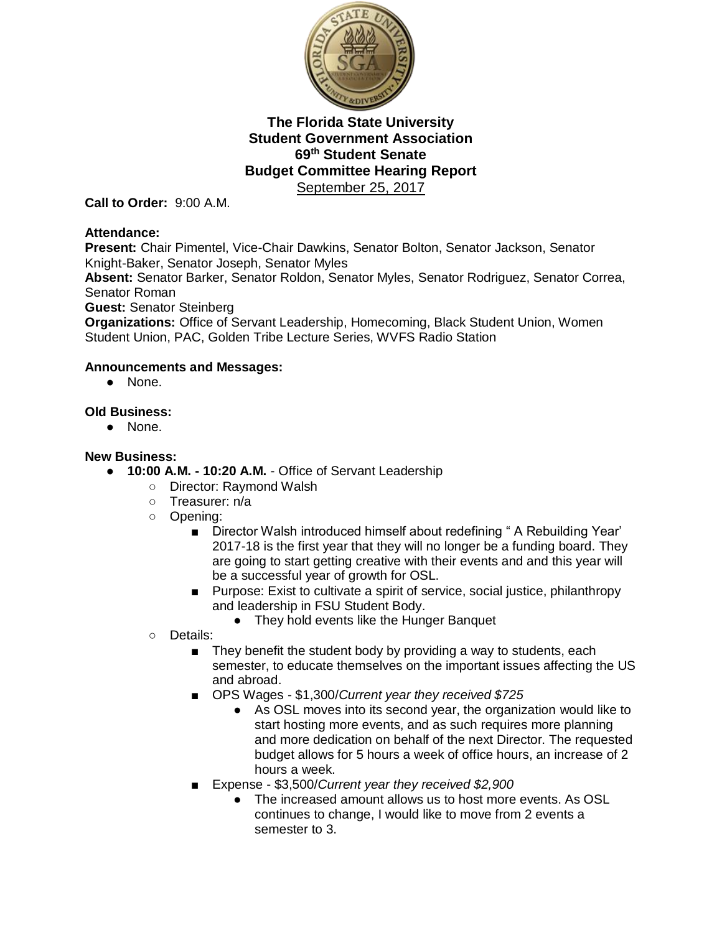

**Call to Order:** 9:00 A.M.

#### **Attendance:**

**Present:** Chair Pimentel, Vice-Chair Dawkins, Senator Bolton, Senator Jackson, Senator Knight-Baker, Senator Joseph, Senator Myles

**Absent:** Senator Barker, Senator Roldon, Senator Myles, Senator Rodriguez, Senator Correa, Senator Roman

**Guest:** Senator Steinberg

**Organizations:** Office of Servant Leadership, Homecoming, Black Student Union, Women Student Union, PAC, Golden Tribe Lecture Series, WVFS Radio Station

### **Announcements and Messages:**

● None.

### **Old Business:**

● None.

### **New Business:**

- **10:00 A.M. - 10:20 A.M.** Office of Servant Leadership
	- Director: Raymond Walsh
	- Treasurer: n/a
	- Opening:
		- Director Walsh introduced himself about redefining "A Rebuilding Year' 2017-18 is the first year that they will no longer be a funding board. They are going to start getting creative with their events and and this year will be a successful year of growth for OSL.
		- Purpose: Exist to cultivate a spirit of service, social justice, philanthropy and leadership in FSU Student Body.
			- They hold events like the Hunger Banquet
	- Details:
		- They benefit the student body by providing a way to students, each semester, to educate themselves on the important issues affecting the US and abroad.
		- OPS Wages \$1,300/*Current year they received \$725*
			- As OSL moves into its second year, the organization would like to start hosting more events, and as such requires more planning and more dedication on behalf of the next Director. The requested budget allows for 5 hours a week of office hours, an increase of 2 hours a week.
		- Expense \$3,500/*Current year they received \$2,900*
			- The increased amount allows us to host more events. As OSL continues to change, I would like to move from 2 events a semester to 3.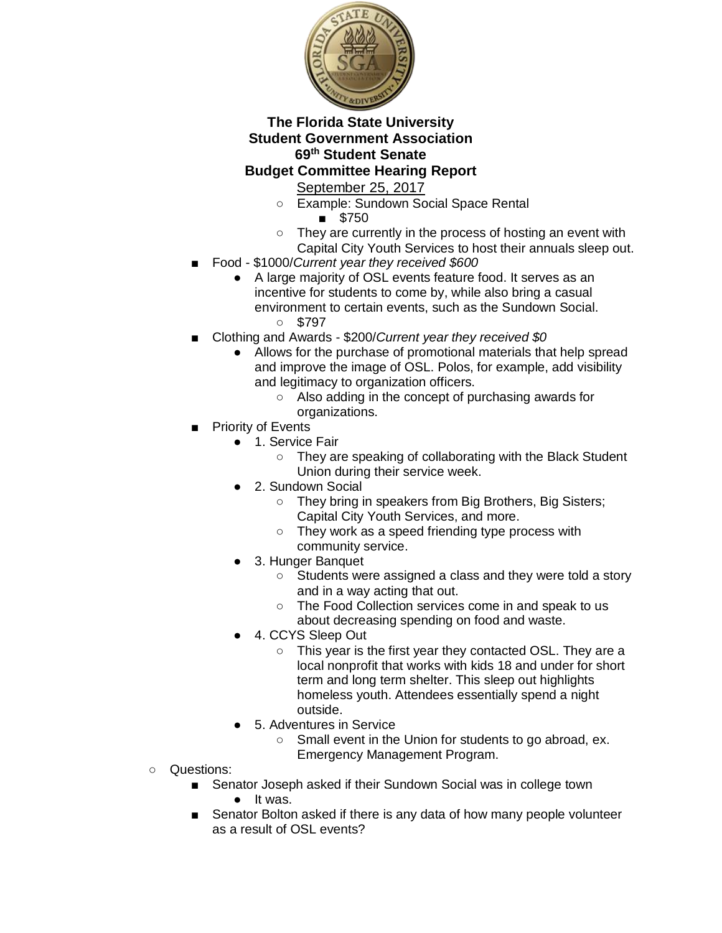

- Example: Sundown Social Space Rental
	- \$750
- They are currently in the process of hosting an event with Capital City Youth Services to host their annuals sleep out.
- Food \$1000/*Current year they received \$600*
	- A large majority of OSL events feature food. It serves as an incentive for students to come by, while also bring a casual environment to certain events, such as the Sundown Social. ○ \$797
- Clothing and Awards \$200/*Current year they received \$0*
	- Allows for the purchase of promotional materials that help spread and improve the image of OSL. Polos, for example, add visibility and legitimacy to organization officers.
		- Also adding in the concept of purchasing awards for organizations.
- Priority of Events
	- 1. Service Fair
		- They are speaking of collaborating with the Black Student Union during their service week.
	- 2. Sundown Social
		- They bring in speakers from Big Brothers, Big Sisters; Capital City Youth Services, and more.
		- They work as a speed friending type process with community service.
	- 3. Hunger Banquet
		- Students were assigned a class and they were told a story and in a way acting that out.
		- The Food Collection services come in and speak to us about decreasing spending on food and waste.
	- 4. CCYS Sleep Out
		- This year is the first year they contacted OSL. They are a local nonprofit that works with kids 18 and under for short term and long term shelter. This sleep out highlights homeless youth. Attendees essentially spend a night outside.
	- 5. Adventures in Service
		- Small event in the Union for students to go abroad, ex. Emergency Management Program.
- Questions:
	- Senator Joseph asked if their Sundown Social was in college town ● It was.
	- Senator Bolton asked if there is any data of how many people volunteer as a result of OSL events?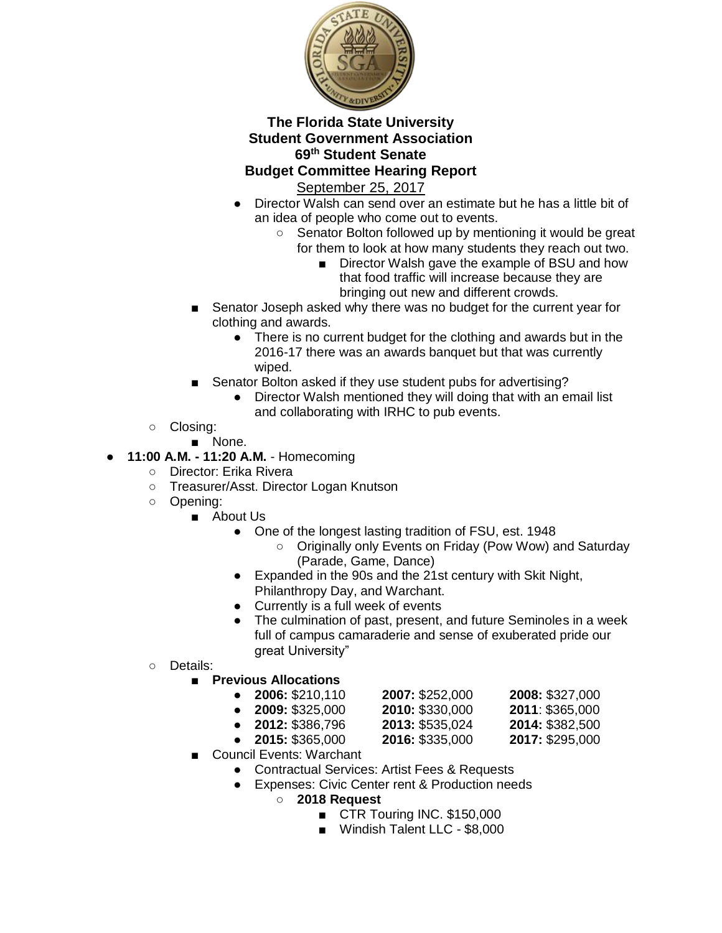

- Director Walsh can send over an estimate but he has a little bit of an idea of people who come out to events.
	- Senator Bolton followed up by mentioning it would be great for them to look at how many students they reach out two.
		- Director Walsh gave the example of BSU and how that food traffic will increase because they are bringing out new and different crowds.
- Senator Joseph asked why there was no budget for the current year for clothing and awards.
	- There is no current budget for the clothing and awards but in the 2016-17 there was an awards banquet but that was currently wiped.
- Senator Bolton asked if they use student pubs for advertising?
	- Director Walsh mentioned they will doing that with an email list and collaborating with IRHC to pub events.
- Closing:
	- None.
- **11:00 A.M. - 11:20 A.M.** Homecoming
	- Director: Erika Rivera
	- Treasurer/Asst. Director Logan Knutson
	- Opening:
		- About Us
			- One of the longest lasting tradition of FSU, est. 1948
				- Originally only Events on Friday (Pow Wow) and Saturday (Parade, Game, Dance)
			- Expanded in the 90s and the 21st century with Skit Night, Philanthropy Day, and Warchant.
			- Currently is a full week of events
			- The culmination of past, present, and future Seminoles in a week full of campus camaraderie and sense of exuberated pride our great University"
	- Details:
		- **Previous Allocations** 
			- **2006:** \$210,110 **2007:** \$252,000 **2008:** \$327,000
			-

| LUUU. JZUU. IUU        | <b>ZUUT.</b> JZUZ.UUU | <b>LUUO.</b> JJZT,UUU |
|------------------------|-----------------------|-----------------------|
| <b>2009: \$325,000</b> | 2010: \$330,000       | 2011: \$365,000       |
| 2012: \$386,796        | 2013: \$535,024       | 2014: \$382,500       |

- 
- **2015:** \$365,000 **2016:** \$335,000 **2017:** \$295,000
- Council Events: Warchant
	- Contractual Services: Artist Fees & Requests
	- Expenses: Civic Center rent & Production needs
		- **2018 Request**
			- CTR Touring INC. \$150,000
			- Windish Talent LLC \$8,000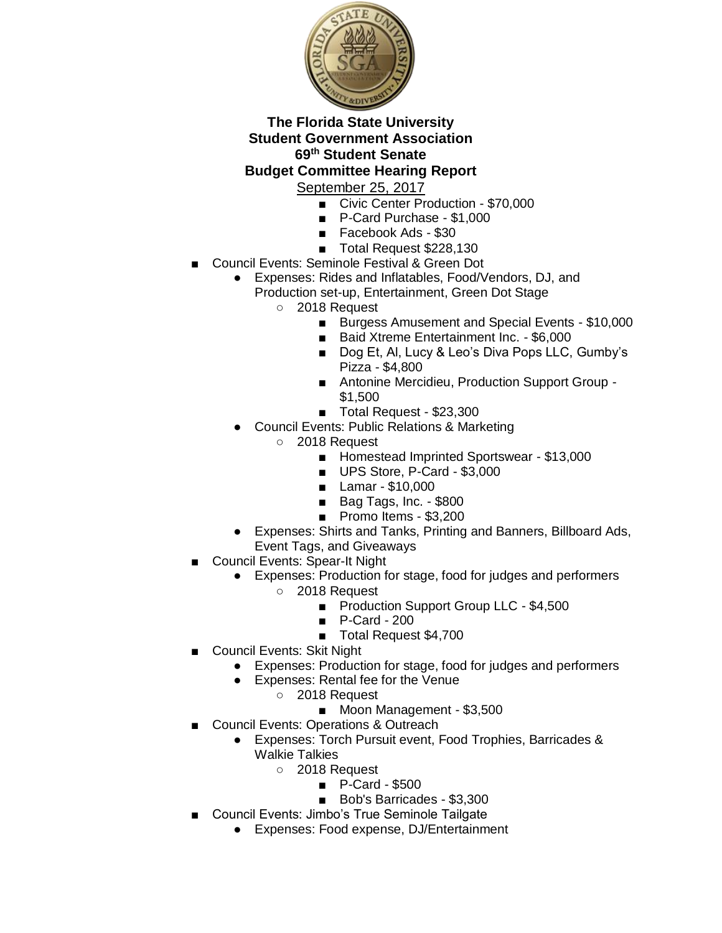

- Civic Center Production \$70,000
- P-Card Purchase \$1,000
- Facebook Ads \$30
- Total Request \$228,130
- **Council Events: Seminole Festival & Green Dot** 
	- Expenses: Rides and Inflatables, Food/Vendors, DJ, and
		- Production set-up, Entertainment, Green Dot Stage
			- 2018 Request
				- Burgess Amusement and Special Events \$10,000
				- Baid Xtreme Entertainment Inc. \$6,000
				- Dog Et, Al, Lucy & Leo's Diva Pops LLC, Gumby's Pizza - \$4,800
				- Antonine Mercidieu, Production Support Group -\$1,500
				- Total Request \$23,300
		- **Council Events: Public Relations & Marketing** 
			- 2018 Request
				- Homestead Imprinted Sportswear \$13,000
				- UPS Store, P-Card \$3,000
				- Lamar \$10,000
				- Bag Tags, Inc. \$800
				- Promo Items \$3,200
		- Expenses: Shirts and Tanks, Printing and Banners, Billboard Ads, Event Tags, and Giveaways
	- **Council Events: Spear-It Night** 
		- Expenses: Production for stage, food for judges and performers
			- 2018 Request
				- Production Support Group LLC \$4,500
				- P-Card 200
				- Total Request \$4,700
- Council Events: Skit Night
	- Expenses: Production for stage, food for judges and performers
	- Expenses: Rental fee for the Venue
		- 2018 Request
			- Moon Management \$3,500
- Council Events: Operations & Outreach
	- Expenses: Torch Pursuit event, Food Trophies, Barricades & Walkie Talkies
		- 2018 Request
			- P-Card \$500
			- Bob's Barricades \$3,300
- Council Events: Jimbo's True Seminole Tailgate
	- Expenses: Food expense, DJ/Entertainment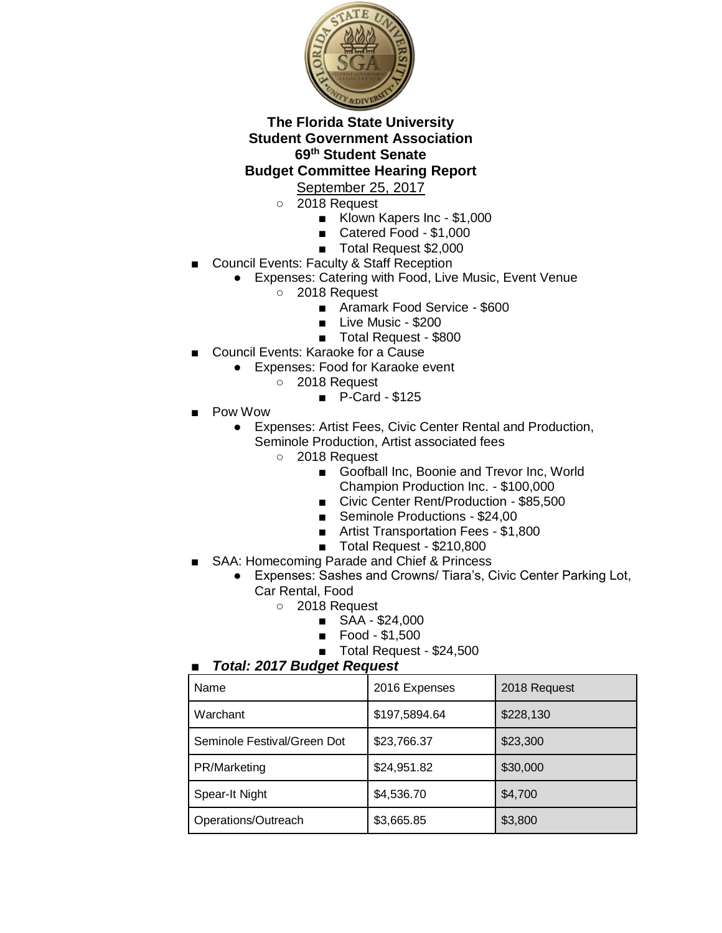

# September 25, 2017

- 2018 Request
	- Klown Kapers Inc \$1,000
	- Catered Food \$1,000
	- Total Request \$2,000
- Council Events: Faculty & Staff Reception
	- Expenses: Catering with Food, Live Music, Event Venue
		- 2018 Request
			- Aramark Food Service \$600
			- Live Music \$200
			- Total Request \$800
- Council Events: Karaoke for a Cause
	- Expenses: Food for Karaoke event
		- 2018 Request
			- P-Card \$125
- Pow Wow
	- Expenses: Artist Fees, Civic Center Rental and Production, Seminole Production, Artist associated fees
		- 2018 Request
			- Goofball Inc, Boonie and Trevor Inc, World Champion Production Inc. - \$100,000
			- Civic Center Rent/Production \$85,500
			- Seminole Productions \$24,00
			- Artist Transportation Fees \$1,800
			- Total Request \$210,800
- SAA: Homecoming Parade and Chief & Princess
	- Expenses: Sashes and Crowns/ Tiara's, Civic Center Parking Lot, Car Rental, Food
		- 2018 Request
			- SAA \$24,000
			- Food \$1,500
			- Total Request \$24,500

#### ■ *Total: 2017 Budget Request*

| Name                        | 2016 Expenses | 2018 Request |
|-----------------------------|---------------|--------------|
| Warchant                    | \$197,5894.64 | \$228,130    |
| Seminole Festival/Green Dot | \$23,766.37   | \$23,300     |
| PR/Marketing                | \$24,951.82   | \$30,000     |
| Spear-It Night              | \$4,536.70    | \$4,700      |
| Operations/Outreach         | \$3,665.85    | \$3,800      |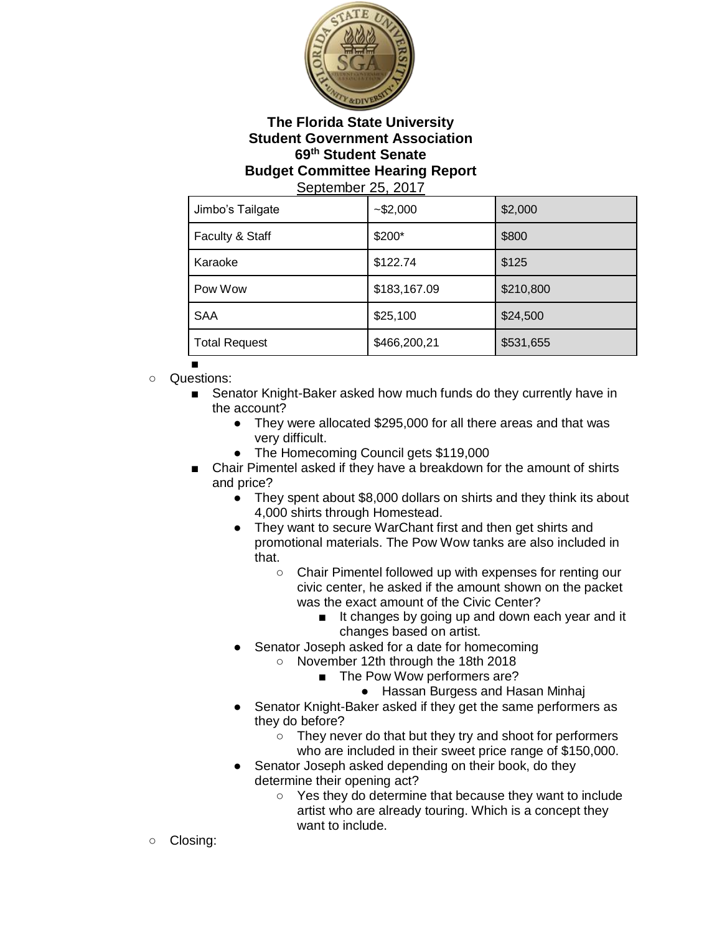

| Jimbo's Tailgate     | $-$ \$2,000  | \$2,000   |
|----------------------|--------------|-----------|
| Faculty & Staff      | \$200*       | \$800     |
| Karaoke              | \$122.74     | \$125     |
| Pow Wow              | \$183,167.09 | \$210,800 |
| <b>SAA</b>           | \$25,100     | \$24,500  |
| <b>Total Request</b> | \$466,200,21 | \$531,655 |

- ■
- Questions:
	- Senator Knight-Baker asked how much funds do they currently have in the account?
		- They were allocated \$295,000 for all there areas and that was very difficult.
		- The Homecoming Council gets \$119,000
	- Chair Pimentel asked if they have a breakdown for the amount of shirts and price?
		- They spent about \$8,000 dollars on shirts and they think its about 4,000 shirts through Homestead.
		- They want to secure WarChant first and then get shirts and promotional materials. The Pow Wow tanks are also included in that.
			- Chair Pimentel followed up with expenses for renting our civic center, he asked if the amount shown on the packet was the exact amount of the Civic Center?
				- It changes by going up and down each year and it changes based on artist.
		- Senator Joseph asked for a date for homecoming
			- November 12th through the 18th 2018
				- The Pow Wow performers are?
					- Hassan Burgess and Hasan Minhaj
		- Senator Knight-Baker asked if they get the same performers as they do before?
			- They never do that but they try and shoot for performers who are included in their sweet price range of \$150,000.
		- Senator Joseph asked depending on their book, do they determine their opening act?
			- Yes they do determine that because they want to include artist who are already touring. Which is a concept they want to include.
- Closing: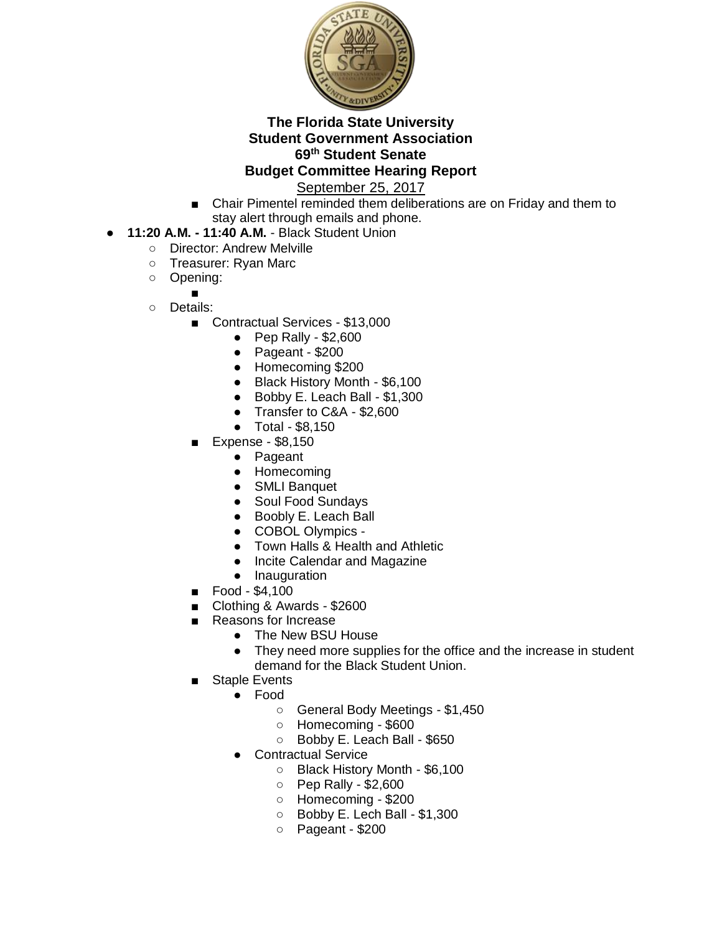

September 25, 2017

■ Chair Pimentel reminded them deliberations are on Friday and them to stay alert through emails and phone.

### ● **11:20 A.M. - 11:40 A.M.** - Black Student Union

- Director: Andrew Melville
- Treasurer: Ryan Marc
- Opening:
	- ■
- Details:
	- Contractual Services \$13,000
		- $\bullet$  Pep Rally \$2,600
		- Pageant \$200
		- Homecoming \$200
		- Black History Month \$6,100
		- Bobby E. Leach Ball \$1,300
		- Transfer to C&A \$2,600
		- Total \$8,150
	- Expense \$8,150
		- Pageant
		- Homecoming
		- SMLI Banquet
		- Soul Food Sundays
		- Boobly E. Leach Ball
		- COBOL Olympics -
		- Town Halls & Health and Athletic
		- Incite Calendar and Magazine
		- Inauguration
	- Food \$4,100
	- Clothing & Awards \$2600
	- Reasons for Increase
		- The New BSU House
		- They need more supplies for the office and the increase in student demand for the Black Student Union.
	- **Staple Events** 
		- Food
			- General Body Meetings \$1,450
			- Homecoming \$600
			- Bobby E. Leach Ball \$650
		- **Contractual Service** 
			- Black History Month \$6,100
			- Pep Rally \$2,600
			- Homecoming \$200
			- Bobby E. Lech Ball \$1,300
			- Pageant \$200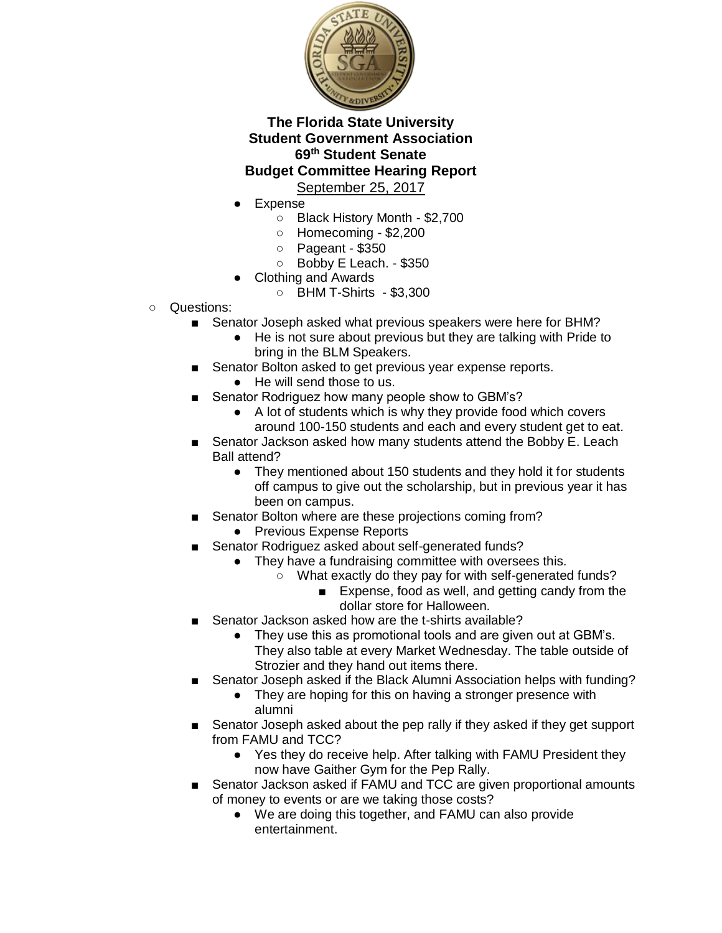

- **Expense** 
	- Black History Month \$2,700
	- Homecoming \$2,200
	- Pageant \$350
	- Bobby E Leach. \$350
- **Clothing and Awards** 
	- BHM T-Shirts \$3,300
- Questions:
	- Senator Joseph asked what previous speakers were here for BHM?
		- He is not sure about previous but they are talking with Pride to bring in the BLM Speakers.
	- Senator Bolton asked to get previous year expense reports.
		- He will send those to us.
	- Senator Rodriguez how many people show to GBM's?
		- A lot of students which is why they provide food which covers around 100-150 students and each and every student get to eat.
	- Senator Jackson asked how many students attend the Bobby E. Leach Ball attend?
		- They mentioned about 150 students and they hold it for students off campus to give out the scholarship, but in previous year it has been on campus.
	- Senator Bolton where are these projections coming from?
		- Previous Expense Reports
	- Senator Rodriguez asked about self-generated funds?
		- They have a fundraising committee with oversees this.
			- What exactly do they pay for with self-generated funds?
				- Expense, food as well, and getting candy from the dollar store for Halloween.
	- Senator Jackson asked how are the t-shirts available?
		- They use this as promotional tools and are given out at GBM's. They also table at every Market Wednesday. The table outside of Strozier and they hand out items there.
	- Senator Joseph asked if the Black Alumni Association helps with funding?
		- They are hoping for this on having a stronger presence with alumni
	- Senator Joseph asked about the pep rally if they asked if they get support from FAMU and TCC?
		- Yes they do receive help. After talking with FAMU President they now have Gaither Gym for the Pep Rally.
	- Senator Jackson asked if FAMU and TCC are given proportional amounts of money to events or are we taking those costs?
		- We are doing this together, and FAMU can also provide entertainment.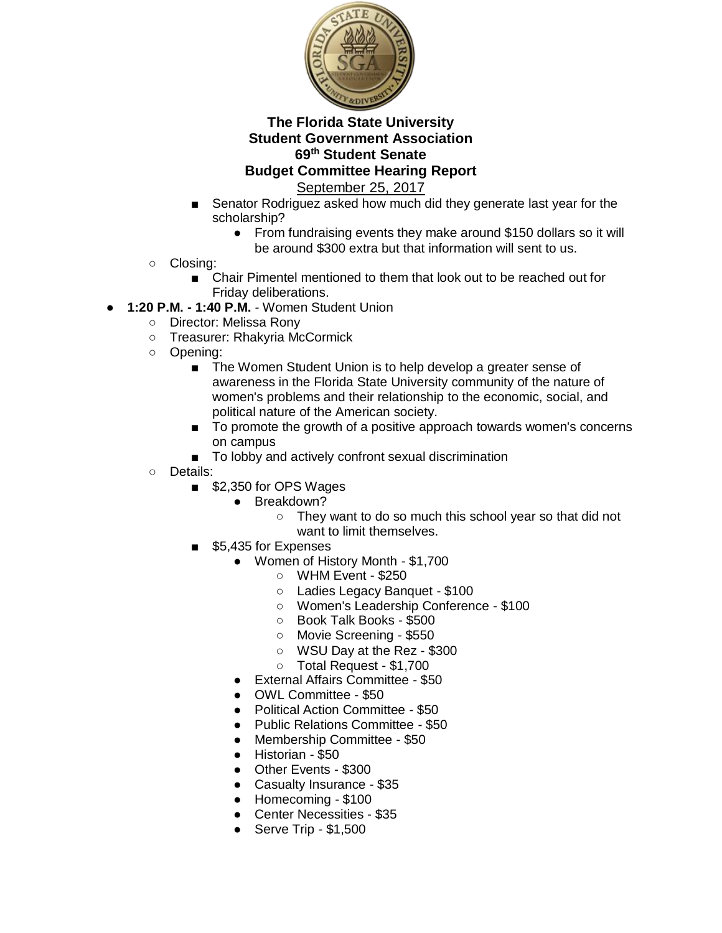

- Senator Rodriguez asked how much did they generate last year for the scholarship?
	- From fundraising events they make around \$150 dollars so it will be around \$300 extra but that information will sent to us.
- Closing:
	- Chair Pimentel mentioned to them that look out to be reached out for Friday deliberations.
- **1:20 P.M. - 1:40 P.M.** Women Student Union
	- Director: Melissa Rony
	- Treasurer: Rhakyria McCormick
	- Opening:
		- The Women Student Union is to help develop a greater sense of awareness in the Florida State University community of the nature of women's problems and their relationship to the economic, social, and political nature of the American society.
		- To promote the growth of a positive approach towards women's concerns on campus
		- To lobby and actively confront sexual discrimination
	- Details:
		- \$2,350 for OPS Wages
			- Breakdown?
				- They want to do so much this school year so that did not want to limit themselves.
		- \$5,435 for Expenses
			- Women of History Month \$1,700
				- WHM Event \$250
					- Ladies Legacy Banquet \$100
				- Women's Leadership Conference \$100
				- Book Talk Books \$500
				- Movie Screening \$550
				- WSU Day at the Rez \$300
				- Total Request \$1,700
			- External Affairs Committee \$50
			- OWL Committee \$50
			- Political Action Committee \$50
			- Public Relations Committee \$50
			- Membership Committee \$50
			- Historian \$50
			- Other Events \$300
			- Casualty Insurance \$35
			- Homecoming \$100
			- Center Necessities \$35
			- Serve Trip \$1,500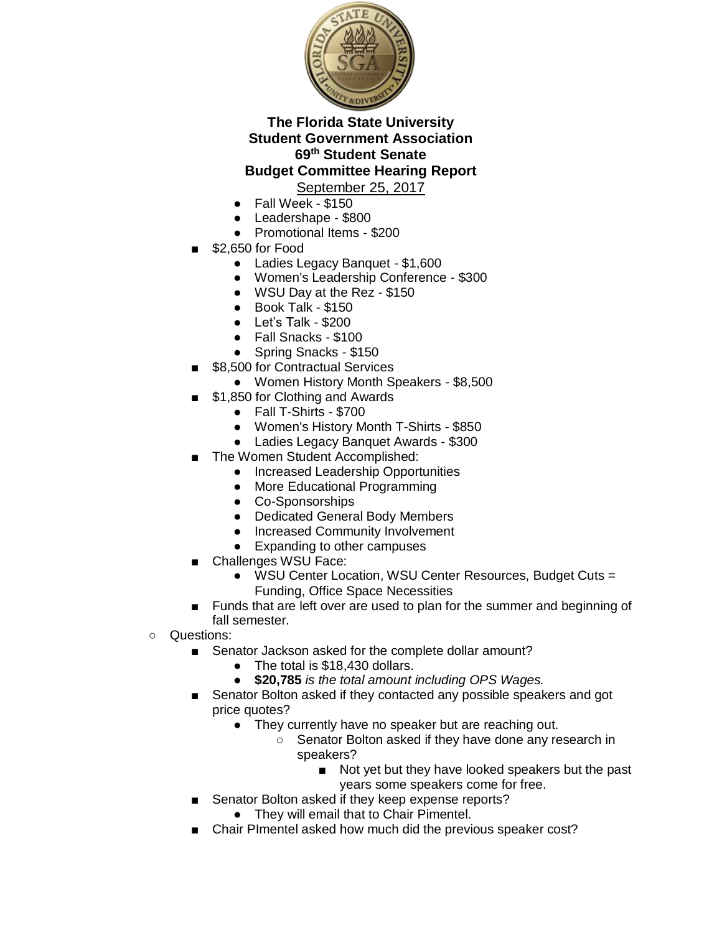

- Fall Week \$150
- Leadershape \$800
- Promotional Items \$200
- \$2,650 for Food
	- Ladies Legacy Banquet \$1,600
	- Women's Leadership Conference \$300
	- WSU Day at the Rez \$150
	- Book Talk \$150
	- Let's Talk \$200
	- Fall Snacks \$100
	- Spring Snacks \$150
- \$8,500 for Contractual Services
	- Women History Month Speakers \$8,500
- \$1,850 for Clothing and Awards
	- Fall T-Shirts \$700
	- Women's History Month T-Shirts \$850
	- Ladies Legacy Banquet Awards \$300
- The Women Student Accomplished:
	- Increased Leadership Opportunities
	- More Educational Programming
	- Co-Sponsorships
	- Dedicated General Body Members
	- Increased Community Involvement
	- Expanding to other campuses
- Challenges WSU Face:
	- WSU Center Location, WSU Center Resources, Budget Cuts = Funding, Office Space Necessities
- Funds that are left over are used to plan for the summer and beginning of fall semester.
- Questions:
	- Senator Jackson asked for the complete dollar amount?
		- The total is \$18,430 dollars.
		- **\$20,785** *is the total amount including OPS Wages.*
	- Senator Bolton asked if they contacted any possible speakers and got price quotes?
		- They currently have no speaker but are reaching out.
			- Senator Bolton asked if they have done any research in speakers?
				- Not yet but they have looked speakers but the past years some speakers come for free.
	- Senator Bolton asked if they keep expense reports?
		- They will email that to Chair Pimentel.
	- Chair PImentel asked how much did the previous speaker cost?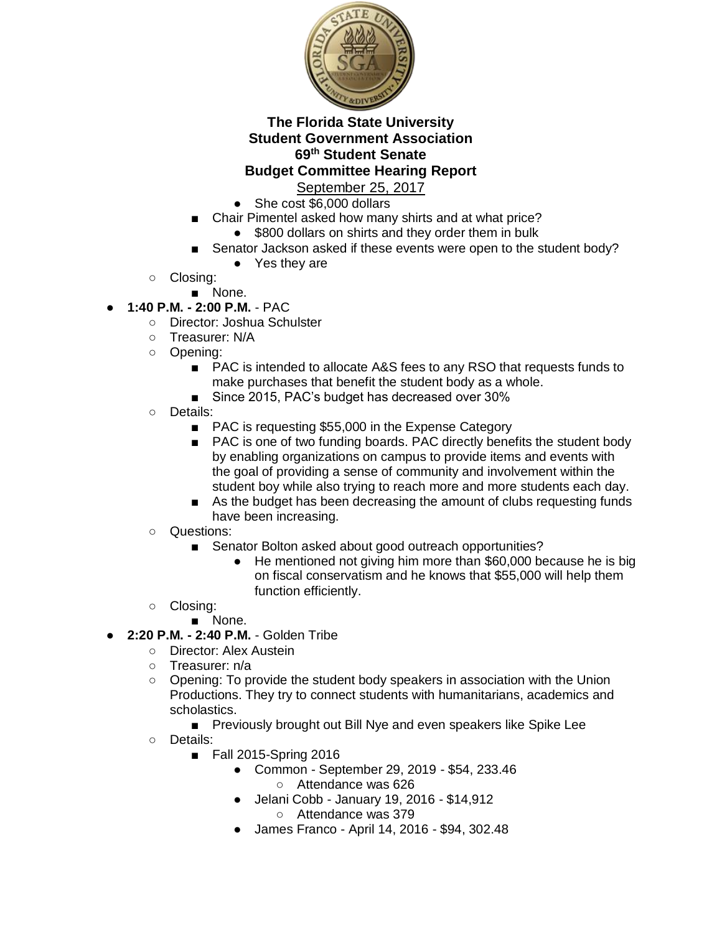

- She cost \$6,000 dollars
- Chair Pimentel asked how many shirts and at what price?
	- \$800 dollars on shirts and they order them in bulk
	- Senator Jackson asked if these events were open to the student body?
		- Yes they are
- Closing:
	- None.
- **1:40 P.M. - 2:00 P.M.**  PAC
	- Director: Joshua Schulster
	- Treasurer: N/A
	- Opening:
		- PAC is intended to allocate A&S fees to any RSO that requests funds to make purchases that benefit the student body as a whole.
		- Since 2015, PAC's budget has decreased over 30%
	- Details:
		- PAC is requesting \$55,000 in the Expense Category
		- PAC is one of two funding boards. PAC directly benefits the student body by enabling organizations on campus to provide items and events with the goal of providing a sense of community and involvement within the student boy while also trying to reach more and more students each day.
		- As the budget has been decreasing the amount of clubs requesting funds have been increasing.
	- Questions:
		- Senator Bolton asked about good outreach opportunities?
			- He mentioned not giving him more than \$60,000 because he is big on fiscal conservatism and he knows that \$55,000 will help them function efficiently.
	- Closing:
		- None.
- **2:20 P.M. - 2:40 P.M.**  Golden Tribe
	- Director: Alex Austein
	- Treasurer: n/a
	- Opening: To provide the student body speakers in association with the Union Productions. They try to connect students with humanitarians, academics and scholastics.
	- Previously brought out Bill Nye and even speakers like Spike Lee ○ Details:
		- Fall 2015-Spring 2016
			- Common September 29, 2019 \$54, 233.46
				- Attendance was 626
			- Jelani Cobb January 19, 2016 \$14,912 ○ Attendance was 379
			- James Franco April 14, 2016 \$94, 302.48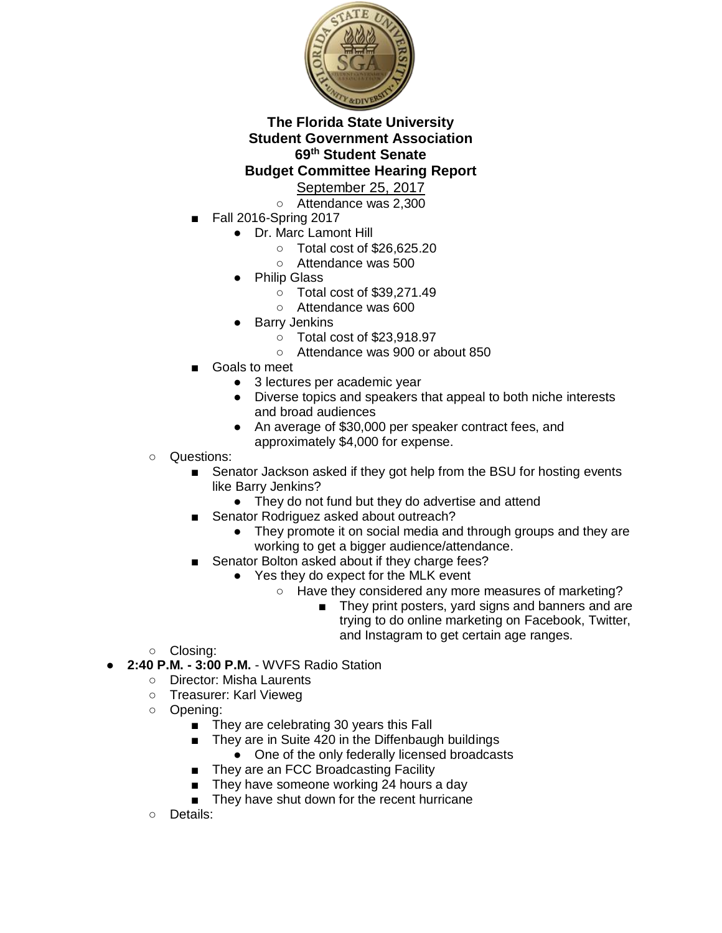

- Attendance was 2,300
- Fall 2016-Spring 2017
	- Dr. Marc Lamont Hill
		- Total cost of \$26,625.20
		- Attendance was 500
	- **Philip Glass** 
		- Total cost of \$39,271.49
		- Attendance was 600
	- **Barry Jenkins** 
		- Total cost of \$23,918.97
		- Attendance was 900 or about 850
- Goals to meet
	- 3 lectures per academic year
	- Diverse topics and speakers that appeal to both niche interests and broad audiences
	- An average of \$30,000 per speaker contract fees, and approximately \$4,000 for expense.
- Questions:
	- Senator Jackson asked if they got help from the BSU for hosting events like Barry Jenkins?
		- They do not fund but they do advertise and attend
	- Senator Rodriguez asked about outreach?
		- They promote it on social media and through groups and they are working to get a bigger audience/attendance.
	- Senator Bolton asked about if they charge fees?
		- Yes they do expect for the MLK event
			- Have they considered any more measures of marketing?
				- They print posters, yard signs and banners and are trying to do online marketing on Facebook, Twitter, and Instagram to get certain age ranges.
- Closing:
- **2:40 P.M. - 3:00 P.M.**  WVFS Radio Station
	- Director: Misha Laurents
	- Treasurer: Karl Vieweg
	- Opening:
		- They are celebrating 30 years this Fall
		- They are in Suite 420 in the Diffenbaugh buildings
			- One of the only federally licensed broadcasts
		- They are an FCC Broadcasting Facility
		- They have someone working 24 hours a day
		- They have shut down for the recent hurricane
	- Details: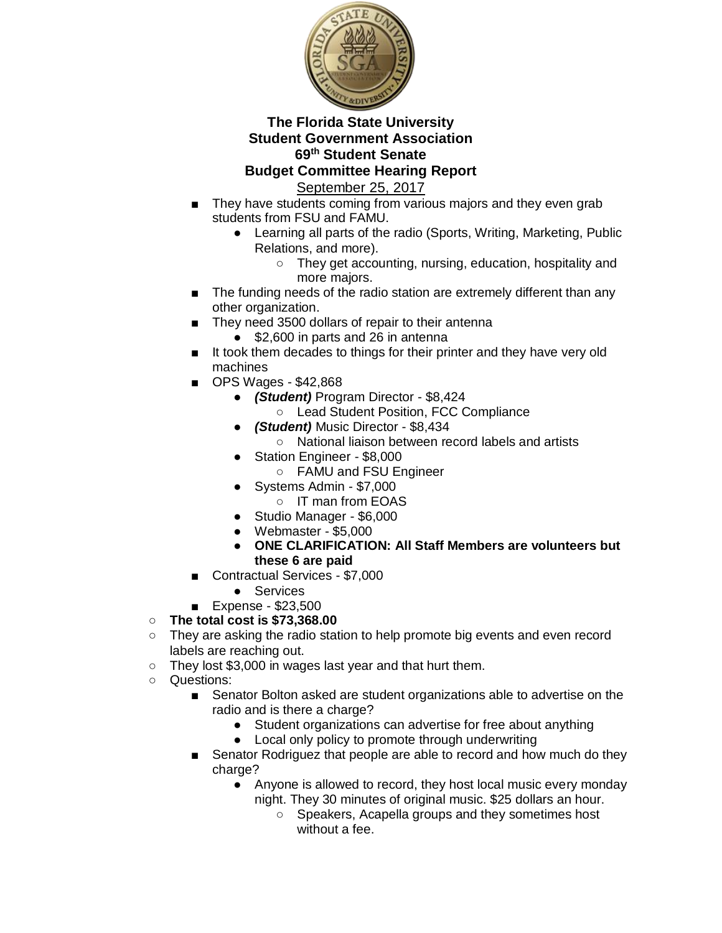

September 25, 2017

- They have students coming from various majors and they even grab students from FSU and FAMU.
	- Learning all parts of the radio (Sports, Writing, Marketing, Public Relations, and more).
		- They get accounting, nursing, education, hospitality and more majors.
- The funding needs of the radio station are extremely different than any other organization.
- They need 3500 dollars of repair to their antenna
	- \$2,600 in parts and 26 in antenna
- It took them decades to things for their printer and they have very old machines
- OPS Wages \$42,868
	- *(Student)* Program Director \$8,424
		- Lead Student Position, FCC Compliance
	- *(Student)* Music Director \$8,434
		- National liaison between record labels and artists
	- Station Engineer \$8,000
		- FAMU and FSU Engineer
	- Systems Admin \$7,000
		- IT man from EOAS
	- Studio Manager \$6,000
	- Webmaster \$5,000
	- **ONE CLARIFICATION: All Staff Members are volunteers but these 6 are paid**
- Contractual Services \$7,000
	- Services
- Expense \$23,500

## ○ **The total cost is \$73,368.00**

- They are asking the radio station to help promote big events and even record labels are reaching out.
- They lost \$3,000 in wages last year and that hurt them.
- Questions:
	- Senator Bolton asked are student organizations able to advertise on the radio and is there a charge?
		- Student organizations can advertise for free about anything
		- Local only policy to promote through underwriting
	- Senator Rodriguez that people are able to record and how much do they charge?
		- Anyone is allowed to record, they host local music every monday night. They 30 minutes of original music. \$25 dollars an hour.
			- Speakers, Acapella groups and they sometimes host without a fee.